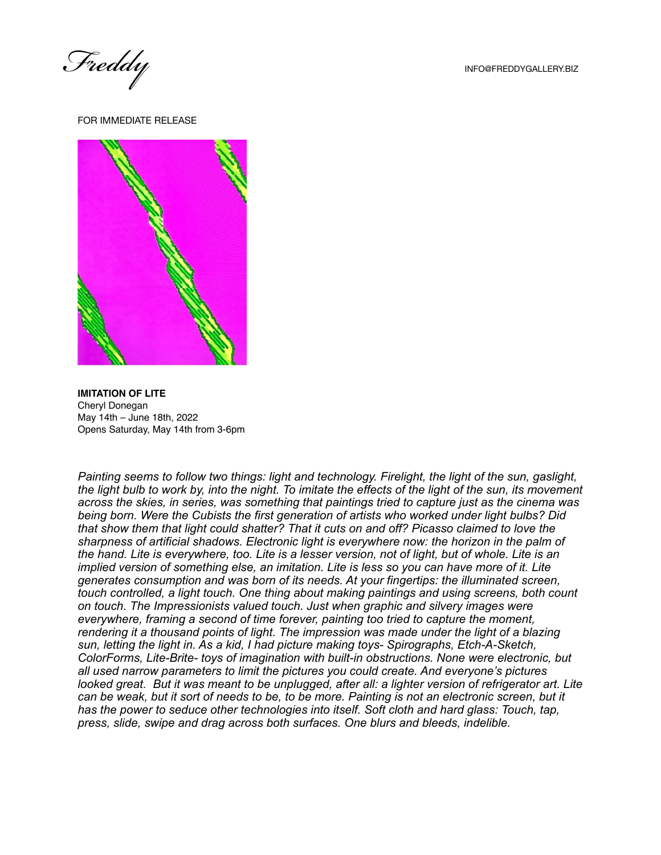*Freddy* INFO@FREDDYGALLERY.BIZ

FOR IMMEDIATE RELEASE



**IMITATION OF LITE** Cheryl Donegan May 14th – June 18th, 2022 Opens Saturday, May 14th from 3-6pm

*Painting seems to follow two things: light and technology. Firelight, the light of the sun, gaslight, the light bulb to work by, into the night. To imitate the effects of the light of the sun, its movement across the skies, in series, was something that paintings tried to capture just as the cinema was being born. Were the Cubists the first generation of artists who worked under light bulbs? Did that show them that light could shatter? That it cuts on and off? Picasso claimed to love the sharpness of artificial shadows. Electronic light is everywhere now: the horizon in the palm of the hand. Lite is everywhere, too. Lite is a lesser version, not of light, but of whole. Lite is an implied version of something else, an imitation. Lite is less so you can have more of it. Lite generates consumption and was born of its needs. At your fingertips: the illuminated screen, touch controlled, a light touch. One thing about making paintings and using screens, both count on touch. The Impressionists valued touch. Just when graphic and silvery images were everywhere, framing a second of time forever, painting too tried to capture the moment, rendering it a thousand points of light. The impression was made under the light of a blazing sun, letting the light in. As a kid, I had picture making toys- Spirographs, Etch-A-Sketch, ColorForms, Lite-Brite- toys of imagination with built-in obstructions. None were electronic, but all used narrow parameters to limit the pictures you could create. And everyone's pictures looked great. But it was meant to be unplugged, after all: a lighter version of refrigerator art. Lite can be weak, but it sort of needs to be, to be more. Painting is not an electronic screen, but it has the power to seduce other technologies into itself. Soft cloth and hard glass: Touch, tap, press, slide, swipe and drag across both surfaces. One blurs and bleeds, indelible.*